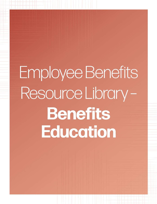# Employee Benefits Resource Library-**Benefits Education**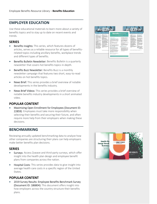# **EMPLOYER EDUCATION**

Use these educational materials to learn more about a variety of benefits topics and to stay up to date on recent events and trends.

#### **SERIES**

- Benefits Insights: This series, which features dozens of articles, serves as a reliable resource for all types of benefitsrelated topics including ancillary benefits, workplace trends and different types of benefits.
- Benefits Bulletin Newsletter: Benefits Bulletin is a quarterly newsletter that covers hot benefits topics in-depth.
- Benefits Buzz Newsletter: Benefits Buzz is a monthly newsletter campaign that features two short, easy-to-read articles on hot benefits topics.
- News Brief: This series provides a brief overview of notable developments in the benefits industry.
- News Brief Videos: This series provides a brief overview of notable benefits industry developments in a short animated video.

## **POPULAR CONTENT**

• Maximizing Open Enrollment for Employees (Document ID: 22859): Employees must take more responsibility when selecting their benefits and securing their future, and often require more help from their employers when making these decisions.

# **BENCHMARKING**

Reviewing annually updated benchmarking data to analyze how other companies are structuring their plans can help employers make better benefits plan decisions.

#### **SERIES**

- Surveys: Access Zywave and third-party surveys, which offer insight into the health plan design and employee benefit plans from companies across the nation.
- Hospital Costs: This series provides data to give insight into average health care costs in a specific region of the United States.

## **POPULAR CONTENT**

• 2019 Survey Results: Employee Benefits Benchmark Survey (Document ID: 186804): This document offers insight into how employers across the country structure their benefits plans.